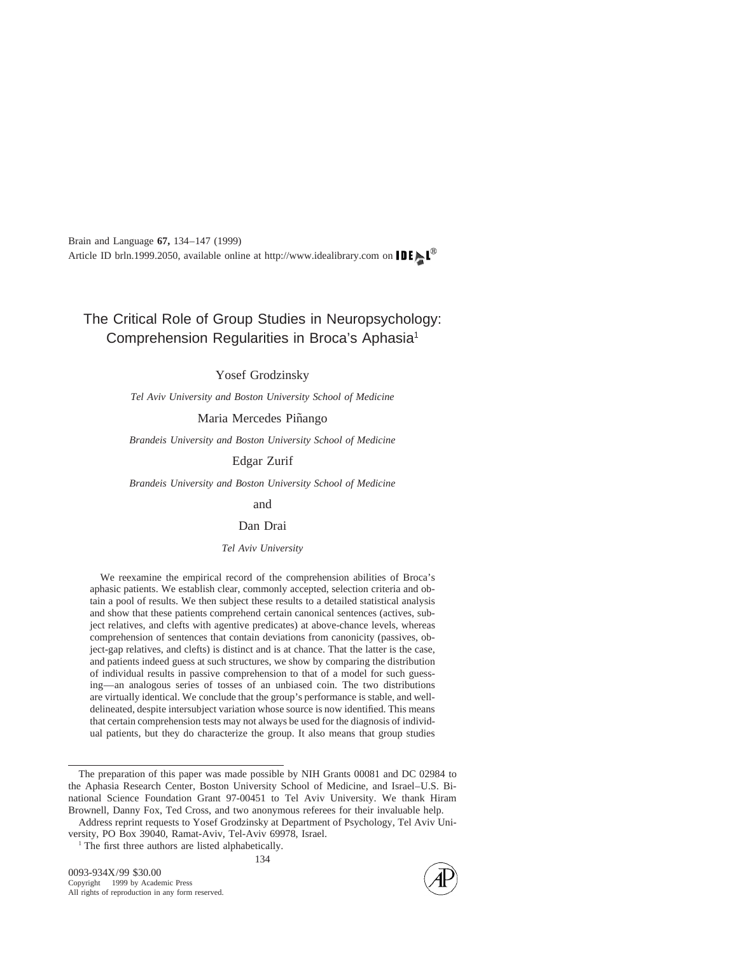# The Critical Role of Group Studies in Neuropsychology: Comprehension Regularities in Broca's Aphasia1

Yosef Grodzinsky

*Tel Aviv University and Boston University School of Medicine*

Maria Mercedes Piñango

*Brandeis University and Boston University School of Medicine*

Edgar Zurif

*Brandeis University and Boston University School of Medicine*

and

### Dan Drai

*Tel Aviv University*

We reexamine the empirical record of the comprehension abilities of Broca's aphasic patients. We establish clear, commonly accepted, selection criteria and obtain a pool of results. We then subject these results to a detailed statistical analysis and show that these patients comprehend certain canonical sentences (actives, subject relatives, and clefts with agentive predicates) at above-chance levels, whereas comprehension of sentences that contain deviations from canonicity (passives, object-gap relatives, and clefts) is distinct and is at chance. That the latter is the case, and patients indeed guess at such structures, we show by comparing the distribution of individual results in passive comprehension to that of a model for such guessing—an analogous series of tosses of an unbiased coin. The two distributions are virtually identical. We conclude that the group's performance is stable, and welldelineated, despite intersubject variation whose source is now identified. This means that certain comprehension tests may not always be used for the diagnosis of individual patients, but they do characterize the group. It also means that group studies

134

The preparation of this paper was made possible by NIH Grants 00081 and DC 02984 to the Aphasia Research Center, Boston University School of Medicine, and Israel–U.S. Binational Science Foundation Grant 97-00451 to Tel Aviv University. We thank Hiram Brownell, Danny Fox, Ted Cross, and two anonymous referees for their invaluable help.

Address reprint requests to Yosef Grodzinsky at Department of Psychology, Tel Aviv University, PO Box 39040, Ramat-Aviv, Tel-Aviv 69978, Israel.

<sup>&</sup>lt;sup>1</sup> The first three authors are listed alphabetically.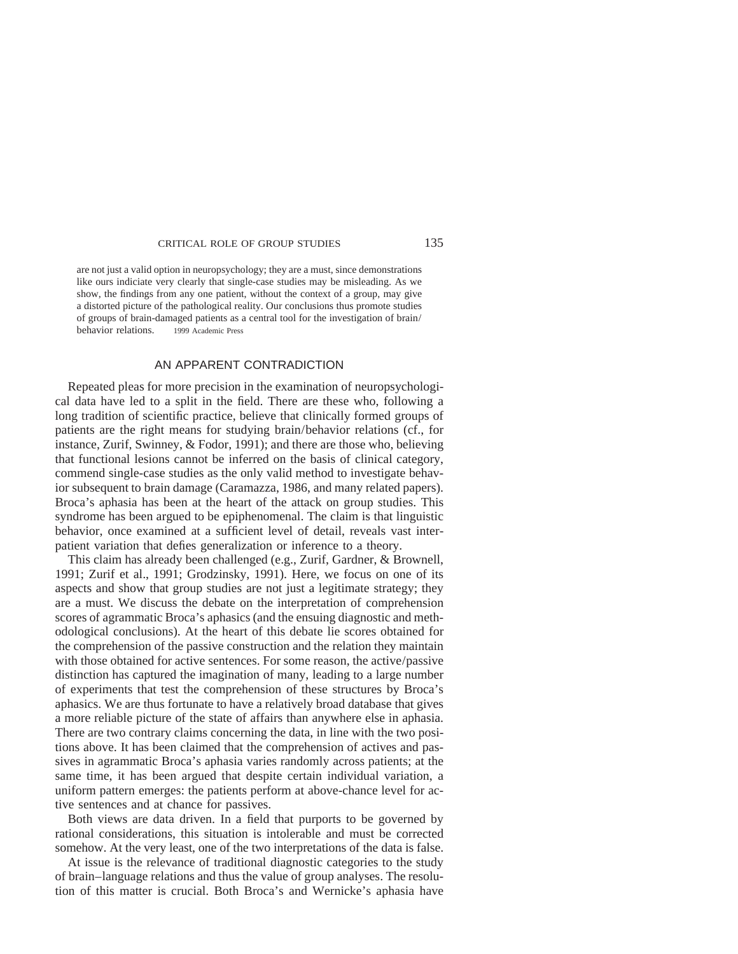are not just a valid option in neuropsychology; they are a must, since demonstrations like ours indiciate very clearly that single-case studies may be misleading. As we show, the findings from any one patient, without the context of a group, may give a distorted picture of the pathological reality. Our conclusions thus promote studies of groups of brain-damaged patients as a central tool for the investigation of brain/ behavior relations. 1999 Academic Press

#### AN APPARENT CONTRADICTION

Repeated pleas for more precision in the examination of neuropsychological data have led to a split in the field. There are these who, following a long tradition of scientific practice, believe that clinically formed groups of patients are the right means for studying brain/behavior relations (cf., for instance, Zurif, Swinney, & Fodor, 1991); and there are those who, believing that functional lesions cannot be inferred on the basis of clinical category, commend single-case studies as the only valid method to investigate behavior subsequent to brain damage (Caramazza, 1986, and many related papers). Broca's aphasia has been at the heart of the attack on group studies. This syndrome has been argued to be epiphenomenal. The claim is that linguistic behavior, once examined at a sufficient level of detail, reveals vast interpatient variation that defies generalization or inference to a theory.

This claim has already been challenged (e.g., Zurif, Gardner, & Brownell, 1991; Zurif et al., 1991; Grodzinsky, 1991). Here, we focus on one of its aspects and show that group studies are not just a legitimate strategy; they are a must. We discuss the debate on the interpretation of comprehension scores of agrammatic Broca's aphasics (and the ensuing diagnostic and methodological conclusions). At the heart of this debate lie scores obtained for the comprehension of the passive construction and the relation they maintain with those obtained for active sentences. For some reason, the active/passive distinction has captured the imagination of many, leading to a large number of experiments that test the comprehension of these structures by Broca's aphasics. We are thus fortunate to have a relatively broad database that gives a more reliable picture of the state of affairs than anywhere else in aphasia. There are two contrary claims concerning the data, in line with the two positions above. It has been claimed that the comprehension of actives and passives in agrammatic Broca's aphasia varies randomly across patients; at the same time, it has been argued that despite certain individual variation, a uniform pattern emerges: the patients perform at above-chance level for active sentences and at chance for passives.

Both views are data driven. In a field that purports to be governed by rational considerations, this situation is intolerable and must be corrected somehow. At the very least, one of the two interpretations of the data is false.

At issue is the relevance of traditional diagnostic categories to the study of brain–language relations and thus the value of group analyses. The resolution of this matter is crucial. Both Broca's and Wernicke's aphasia have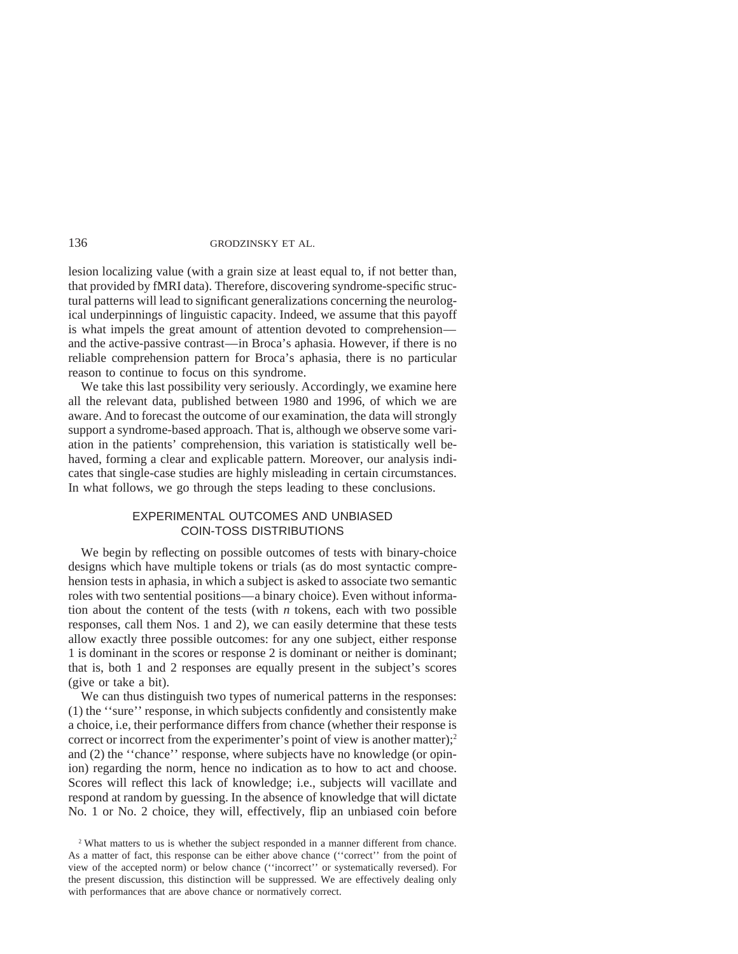lesion localizing value (with a grain size at least equal to, if not better than, that provided by fMRI data). Therefore, discovering syndrome-specific structural patterns will lead to significant generalizations concerning the neurological underpinnings of linguistic capacity. Indeed, we assume that this payoff is what impels the great amount of attention devoted to comprehension and the active-passive contrast—in Broca's aphasia. However, if there is no reliable comprehension pattern for Broca's aphasia, there is no particular reason to continue to focus on this syndrome.

We take this last possibility very seriously. Accordingly, we examine here all the relevant data, published between 1980 and 1996, of which we are aware. And to forecast the outcome of our examination, the data will strongly support a syndrome-based approach. That is, although we observe some variation in the patients' comprehension, this variation is statistically well behaved, forming a clear and explicable pattern. Moreover, our analysis indicates that single-case studies are highly misleading in certain circumstances. In what follows, we go through the steps leading to these conclusions.

## EXPERIMENTAL OUTCOMES AND UNBIASED COIN-TOSS DISTRIBUTIONS

We begin by reflecting on possible outcomes of tests with binary-choice designs which have multiple tokens or trials (as do most syntactic comprehension tests in aphasia, in which a subject is asked to associate two semantic roles with two sentential positions—a binary choice). Even without information about the content of the tests (with *n* tokens, each with two possible responses, call them Nos. 1 and 2), we can easily determine that these tests allow exactly three possible outcomes: for any one subject, either response 1 is dominant in the scores or response 2 is dominant or neither is dominant; that is, both 1 and 2 responses are equally present in the subject's scores (give or take a bit).

We can thus distinguish two types of numerical patterns in the responses: (1) the ''sure'' response, in which subjects confidently and consistently make a choice, i.e, their performance differs from chance (whether their response is correct or incorrect from the experimenter's point of view is another matter);<sup>2</sup> and (2) the ''chance'' response, where subjects have no knowledge (or opinion) regarding the norm, hence no indication as to how to act and choose. Scores will reflect this lack of knowledge; i.e., subjects will vacillate and respond at random by guessing. In the absence of knowledge that will dictate No. 1 or No. 2 choice, they will, effectively, flip an unbiased coin before

<sup>2</sup> What matters to us is whether the subject responded in a manner different from chance. As a matter of fact, this response can be either above chance (''correct'' from the point of view of the accepted norm) or below chance (''incorrect'' or systematically reversed). For the present discussion, this distinction will be suppressed. We are effectively dealing only with performances that are above chance or normatively correct.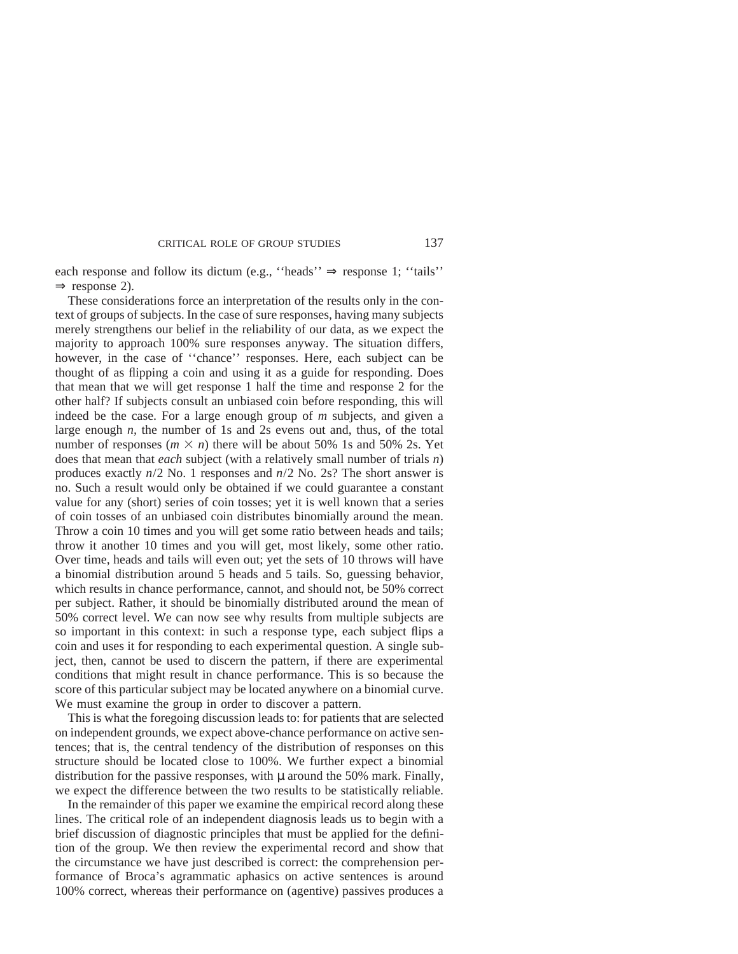each response and follow its dictum (e.g., "heads"  $\Rightarrow$  response 1; "tails"  $\Rightarrow$  response 2).

These considerations force an interpretation of the results only in the context of groups of subjects. In the case of sure responses, having many subjects merely strengthens our belief in the reliability of our data, as we expect the majority to approach 100% sure responses anyway. The situation differs, however, in the case of "chance" responses. Here, each subject can be thought of as flipping a coin and using it as a guide for responding. Does that mean that we will get response 1 half the time and response 2 for the other half? If subjects consult an unbiased coin before responding, this will indeed be the case. For a large enough group of *m* subjects, and given a large enough *n,* the number of 1s and 2s evens out and, thus, of the total number of responses ( $m \times n$ ) there will be about 50% 1s and 50% 2s. Yet does that mean that *each* subject (with a relatively small number of trials *n*) produces exactly *n*/2 No. 1 responses and *n*/2 No. 2s? The short answer is no. Such a result would only be obtained if we could guarantee a constant value for any (short) series of coin tosses; yet it is well known that a series of coin tosses of an unbiased coin distributes binomially around the mean. Throw a coin 10 times and you will get some ratio between heads and tails; throw it another 10 times and you will get, most likely, some other ratio. Over time, heads and tails will even out; yet the sets of 10 throws will have a binomial distribution around 5 heads and 5 tails. So, guessing behavior, which results in chance performance, cannot, and should not, be 50% correct per subject. Rather, it should be binomially distributed around the mean of 50% correct level. We can now see why results from multiple subjects are so important in this context: in such a response type, each subject flips a coin and uses it for responding to each experimental question. A single subject, then, cannot be used to discern the pattern, if there are experimental conditions that might result in chance performance. This is so because the score of this particular subject may be located anywhere on a binomial curve. We must examine the group in order to discover a pattern.

This is what the foregoing discussion leads to: for patients that are selected on independent grounds, we expect above-chance performance on active sentences; that is, the central tendency of the distribution of responses on this structure should be located close to 100%. We further expect a binomial distribution for the passive responses, with  $\mu$  around the 50% mark. Finally, we expect the difference between the two results to be statistically reliable.

In the remainder of this paper we examine the empirical record along these lines. The critical role of an independent diagnosis leads us to begin with a brief discussion of diagnostic principles that must be applied for the definition of the group. We then review the experimental record and show that the circumstance we have just described is correct: the comprehension performance of Broca's agrammatic aphasics on active sentences is around 100% correct, whereas their performance on (agentive) passives produces a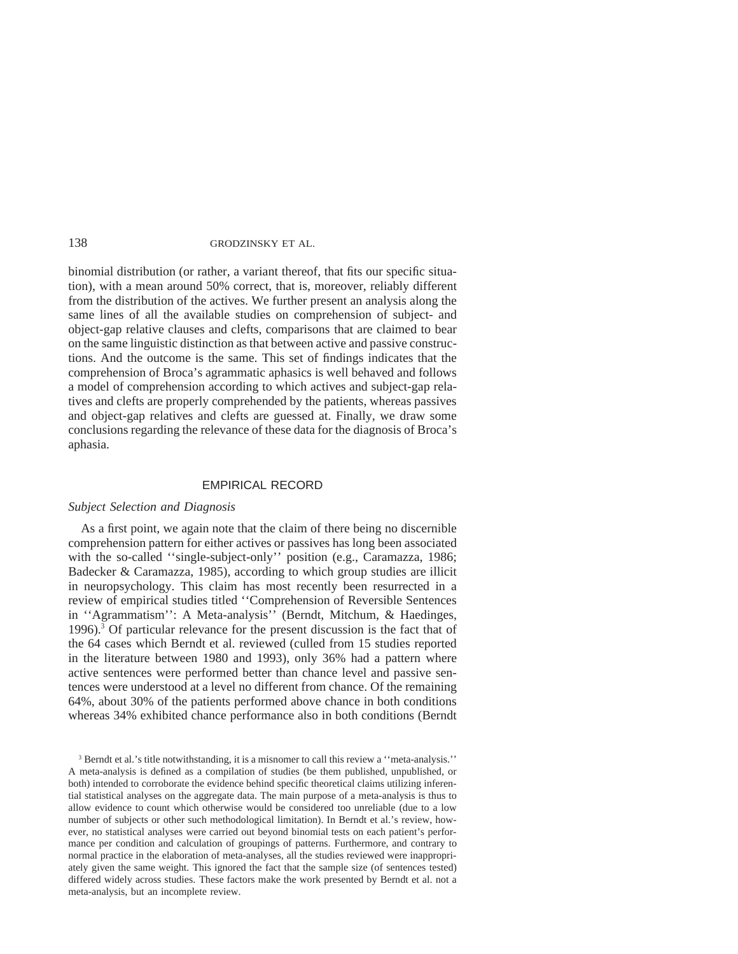binomial distribution (or rather, a variant thereof, that fits our specific situation), with a mean around 50% correct, that is, moreover, reliably different from the distribution of the actives. We further present an analysis along the same lines of all the available studies on comprehension of subject- and object-gap relative clauses and clefts, comparisons that are claimed to bear on the same linguistic distinction as that between active and passive constructions. And the outcome is the same. This set of findings indicates that the comprehension of Broca's agrammatic aphasics is well behaved and follows a model of comprehension according to which actives and subject-gap relatives and clefts are properly comprehended by the patients, whereas passives and object-gap relatives and clefts are guessed at. Finally, we draw some conclusions regarding the relevance of these data for the diagnosis of Broca's aphasia.

### EMPIRICAL RECORD

#### *Subject Selection and Diagnosis*

As a first point, we again note that the claim of there being no discernible comprehension pattern for either actives or passives has long been associated with the so-called "single-subject-only" position (e.g., Caramazza, 1986; Badecker & Caramazza, 1985), according to which group studies are illicit in neuropsychology. This claim has most recently been resurrected in a review of empirical studies titled ''Comprehension of Reversible Sentences in "Agrammatism": A Meta-analysis" (Berndt, Mitchum, & Haedinges, 1996).<sup>3</sup> Of particular relevance for the present discussion is the fact that of the 64 cases which Berndt et al. reviewed (culled from 15 studies reported in the literature between 1980 and 1993), only 36% had a pattern where active sentences were performed better than chance level and passive sentences were understood at a level no different from chance. Of the remaining 64%, about 30% of the patients performed above chance in both conditions whereas 34% exhibited chance performance also in both conditions (Berndt

<sup>3</sup> Berndt et al.'s title notwithstanding, it is a misnomer to call this review a ''meta-analysis.'' A meta-analysis is defined as a compilation of studies (be them published, unpublished, or both) intended to corroborate the evidence behind specific theoretical claims utilizing inferential statistical analyses on the aggregate data. The main purpose of a meta-analysis is thus to allow evidence to count which otherwise would be considered too unreliable (due to a low number of subjects or other such methodological limitation). In Berndt et al.'s review, however, no statistical analyses were carried out beyond binomial tests on each patient's performance per condition and calculation of groupings of patterns. Furthermore, and contrary to normal practice in the elaboration of meta-analyses, all the studies reviewed were inappropriately given the same weight. This ignored the fact that the sample size (of sentences tested) differed widely across studies. These factors make the work presented by Berndt et al. not a meta-analysis, but an incomplete review.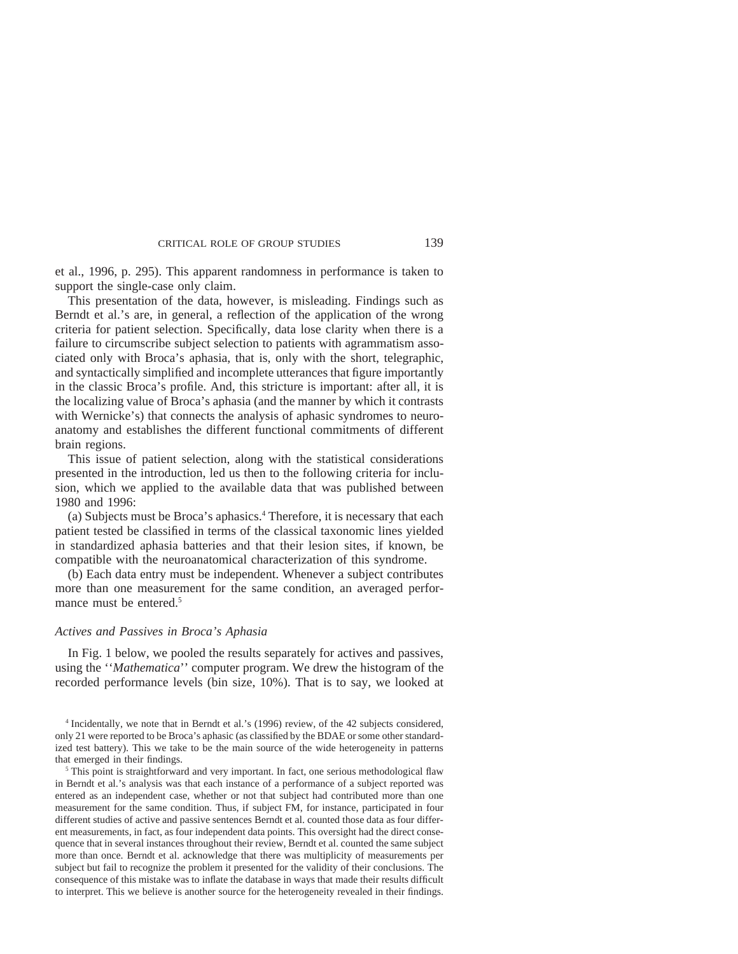et al., 1996, p. 295). This apparent randomness in performance is taken to support the single-case only claim.

This presentation of the data, however, is misleading. Findings such as Berndt et al.'s are, in general, a reflection of the application of the wrong criteria for patient selection. Specifically, data lose clarity when there is a failure to circumscribe subject selection to patients with agrammatism associated only with Broca's aphasia, that is, only with the short, telegraphic, and syntactically simplified and incomplete utterances that figure importantly in the classic Broca's profile. And, this stricture is important: after all, it is the localizing value of Broca's aphasia (and the manner by which it contrasts with Wernicke's) that connects the analysis of aphasic syndromes to neuroanatomy and establishes the different functional commitments of different brain regions.

This issue of patient selection, along with the statistical considerations presented in the introduction, led us then to the following criteria for inclusion, which we applied to the available data that was published between 1980 and 1996:

(a) Subjects must be Broca's aphasics.4 Therefore, it is necessary that each patient tested be classified in terms of the classical taxonomic lines yielded in standardized aphasia batteries and that their lesion sites, if known, be compatible with the neuroanatomical characterization of this syndrome.

(b) Each data entry must be independent. Whenever a subject contributes more than one measurement for the same condition, an averaged performance must be entered.<sup>5</sup>

#### *Actives and Passives in Broca's Aphasia*

In Fig. 1 below, we pooled the results separately for actives and passives, using the ''*Mathematica*'' computer program. We drew the histogram of the recorded performance levels (bin size, 10%). That is to say, we looked at

<sup>4</sup> Incidentally, we note that in Berndt et al.'s (1996) review, of the 42 subjects considered, only 21 were reported to be Broca's aphasic (as classified by the BDAE or some other standardized test battery). This we take to be the main source of the wide heterogeneity in patterns that emerged in their findings.

<sup>5</sup> This point is straightforward and very important. In fact, one serious methodological flaw in Berndt et al.'s analysis was that each instance of a performance of a subject reported was entered as an independent case, whether or not that subject had contributed more than one measurement for the same condition. Thus, if subject FM, for instance, participated in four different studies of active and passive sentences Berndt et al. counted those data as four different measurements, in fact, as four independent data points. This oversight had the direct consequence that in several instances throughout their review, Berndt et al. counted the same subject more than once. Berndt et al. acknowledge that there was multiplicity of measurements per subject but fail to recognize the problem it presented for the validity of their conclusions. The consequence of this mistake was to inflate the database in ways that made their results difficult to interpret. This we believe is another source for the heterogeneity revealed in their findings.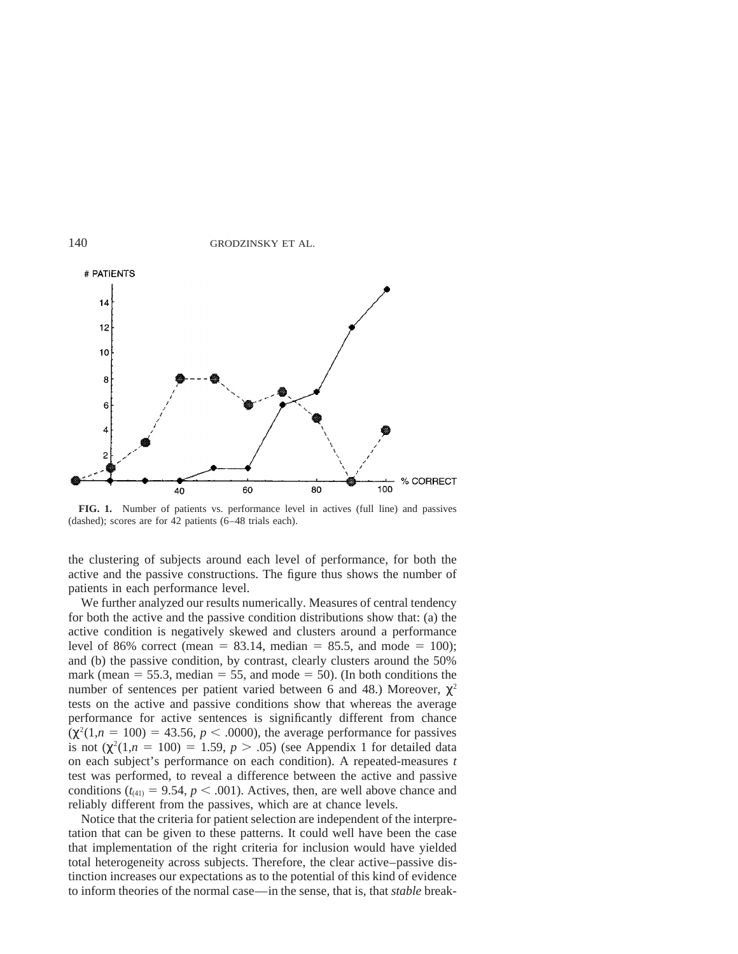

**FIG. 1.** Number of patients vs. performance level in actives (full line) and passives (dashed); scores are for 42 patients (6–48 trials each).

the clustering of subjects around each level of performance, for both the active and the passive constructions. The figure thus shows the number of patients in each performance level.

We further analyzed our results numerically. Measures of central tendency for both the active and the passive condition distributions show that: (a) the active condition is negatively skewed and clusters around a performance level of 86% correct (mean = 83.14, median = 85.5, and mode = 100); and (b) the passive condition, by contrast, clearly clusters around the 50% mark (mean  $= 55.3$ , median  $= 55$ , and mode  $= 50$ ). (In both conditions the number of sentences per patient varied between 6 and 48.) Moreover,  $\chi^2$ tests on the active and passive conditions show that whereas the average performance for active sentences is significantly different from chance  $(\chi^2(1,n = 100) = 43.56, p < .0000)$ , the average performance for passives is not  $(\chi^2(1,n = 100) = 1.59, p > .05)$  (see Appendix 1 for detailed data on each subject's performance on each condition). A repeated-measures *t* test was performed, to reveal a difference between the active and passive conditions ( $t_{(41)} = 9.54$ ,  $p < .001$ ). Actives, then, are well above chance and reliably different from the passives, which are at chance levels.

Notice that the criteria for patient selection are independent of the interpretation that can be given to these patterns. It could well have been the case that implementation of the right criteria for inclusion would have yielded total heterogeneity across subjects. Therefore, the clear active–passive distinction increases our expectations as to the potential of this kind of evidence to inform theories of the normal case—in the sense, that is, that *stable* break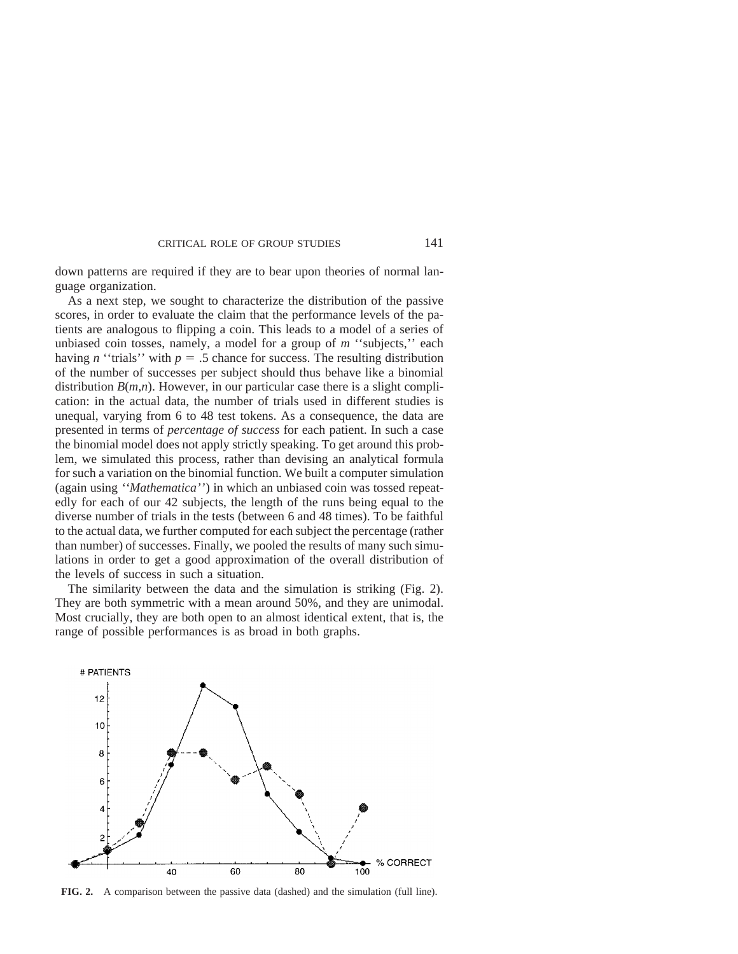down patterns are required if they are to bear upon theories of normal language organization.

As a next step, we sought to characterize the distribution of the passive scores, in order to evaluate the claim that the performance levels of the patients are analogous to flipping a coin. This leads to a model of a series of unbiased coin tosses, namely, a model for a group of *m* ''subjects,'' each having *n* "trials" with  $p = .5$  chance for success. The resulting distribution of the number of successes per subject should thus behave like a binomial distribution  $B(m,n)$ . However, in our particular case there is a slight complication: in the actual data, the number of trials used in different studies is unequal, varying from 6 to 48 test tokens. As a consequence, the data are presented in terms of *percentage of success* for each patient. In such a case the binomial model does not apply strictly speaking. To get around this problem, we simulated this process, rather than devising an analytical formula for such a variation on the binomial function. We built a computer simulation (again using *''Mathematica''*) in which an unbiased coin was tossed repeatedly for each of our 42 subjects, the length of the runs being equal to the diverse number of trials in the tests (between 6 and 48 times). To be faithful to the actual data, we further computed for each subject the percentage (rather than number) of successes. Finally, we pooled the results of many such simulations in order to get a good approximation of the overall distribution of the levels of success in such a situation.

The similarity between the data and the simulation is striking (Fig. 2). They are both symmetric with a mean around 50%, and they are unimodal. Most crucially, they are both open to an almost identical extent, that is, the range of possible performances is as broad in both graphs.



**FIG. 2.** A comparison between the passive data (dashed) and the simulation (full line).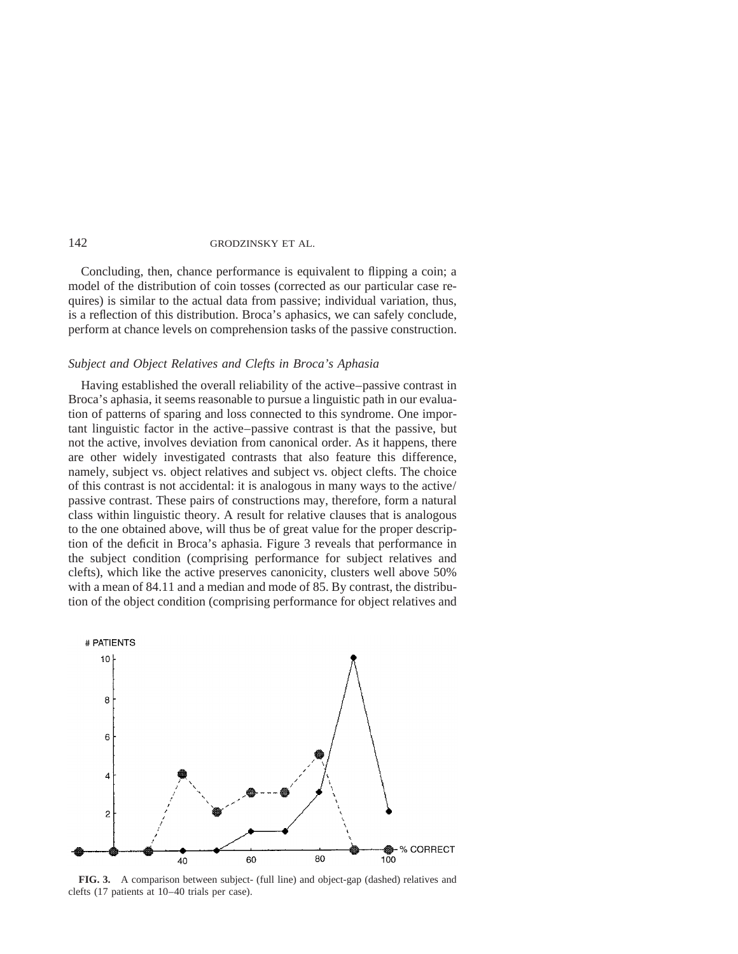Concluding, then, chance performance is equivalent to flipping a coin; a model of the distribution of coin tosses (corrected as our particular case requires) is similar to the actual data from passive; individual variation, thus, is a reflection of this distribution. Broca's aphasics, we can safely conclude, perform at chance levels on comprehension tasks of the passive construction.

#### *Subject and Object Relatives and Clefts in Broca's Aphasia*

Having established the overall reliability of the active–passive contrast in Broca's aphasia, it seems reasonable to pursue a linguistic path in our evaluation of patterns of sparing and loss connected to this syndrome. One important linguistic factor in the active–passive contrast is that the passive, but not the active, involves deviation from canonical order. As it happens, there are other widely investigated contrasts that also feature this difference, namely, subject vs. object relatives and subject vs. object clefts. The choice of this contrast is not accidental: it is analogous in many ways to the active/ passive contrast. These pairs of constructions may, therefore, form a natural class within linguistic theory. A result for relative clauses that is analogous to the one obtained above, will thus be of great value for the proper description of the deficit in Broca's aphasia. Figure 3 reveals that performance in the subject condition (comprising performance for subject relatives and clefts), which like the active preserves canonicity, clusters well above 50% with a mean of 84.11 and a median and mode of 85. By contrast, the distribution of the object condition (comprising performance for object relatives and



**FIG. 3.** A comparison between subject- (full line) and object-gap (dashed) relatives and clefts (17 patients at 10–40 trials per case).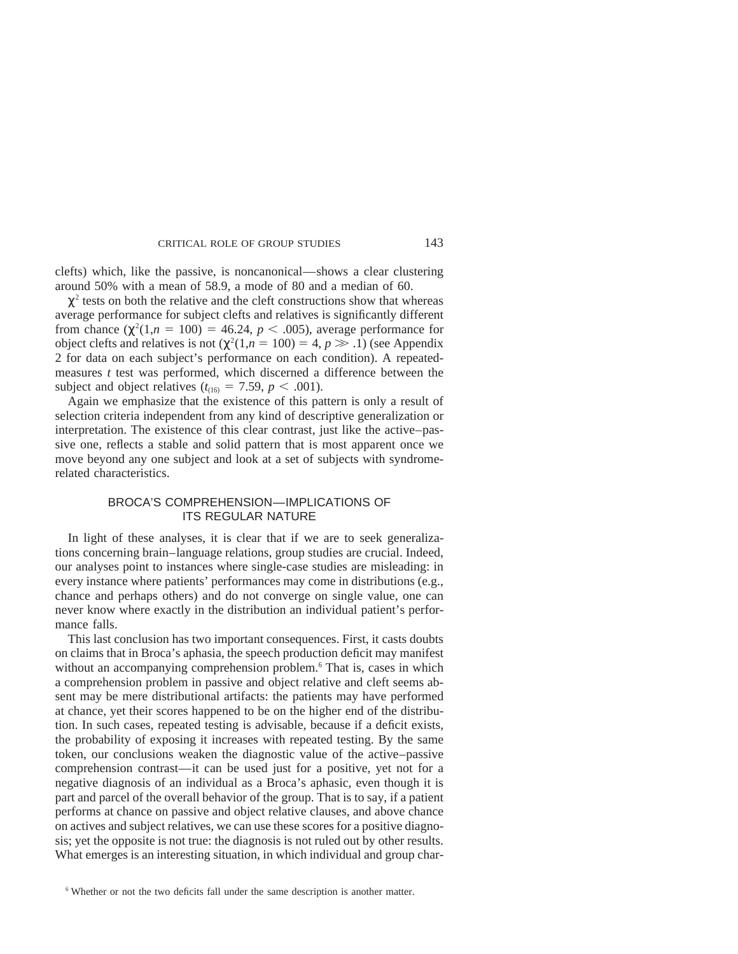clefts) which, like the passive, is noncanonical—shows a clear clustering around 50% with a mean of 58.9, a mode of 80 and a median of 60.

 $\chi^2$  tests on both the relative and the cleft constructions show that whereas average performance for subject clefts and relatives is significantly different from chance  $(χ<sup>2</sup>(1, n = 100) = 46.24, p < .005)$ , average performance for object clefts and relatives is not  $(\chi^2(1, n = 100) = 4, p \gg .1)$  (see Appendix 2 for data on each subject's performance on each condition). A repeatedmeasures *t* test was performed, which discerned a difference between the subject and object relatives  $(t_{(16)} = 7.59, p < .001)$ .

Again we emphasize that the existence of this pattern is only a result of selection criteria independent from any kind of descriptive generalization or interpretation. The existence of this clear contrast, just like the active–passive one, reflects a stable and solid pattern that is most apparent once we move beyond any one subject and look at a set of subjects with syndromerelated characteristics.

### BROCA'S COMPREHENSION—IMPLICATIONS OF ITS REGULAR NATURE

In light of these analyses, it is clear that if we are to seek generalizations concerning brain–language relations, group studies are crucial. Indeed, our analyses point to instances where single-case studies are misleading: in every instance where patients' performances may come in distributions (e.g., chance and perhaps others) and do not converge on single value, one can never know where exactly in the distribution an individual patient's performance falls.

This last conclusion has two important consequences. First, it casts doubts on claims that in Broca's aphasia, the speech production deficit may manifest without an accompanying comprehension problem.<sup>6</sup> That is, cases in which a comprehension problem in passive and object relative and cleft seems absent may be mere distributional artifacts: the patients may have performed at chance, yet their scores happened to be on the higher end of the distribution. In such cases, repeated testing is advisable, because if a deficit exists, the probability of exposing it increases with repeated testing. By the same token, our conclusions weaken the diagnostic value of the active–passive comprehension contrast—it can be used just for a positive, yet not for a negative diagnosis of an individual as a Broca's aphasic, even though it is part and parcel of the overall behavior of the group. That is to say, if a patient performs at chance on passive and object relative clauses, and above chance on actives and subject relatives, we can use these scores for a positive diagnosis; yet the opposite is not true: the diagnosis is not ruled out by other results. What emerges is an interesting situation, in which individual and group char-

<sup>&</sup>lt;sup>6</sup> Whether or not the two deficits fall under the same description is another matter.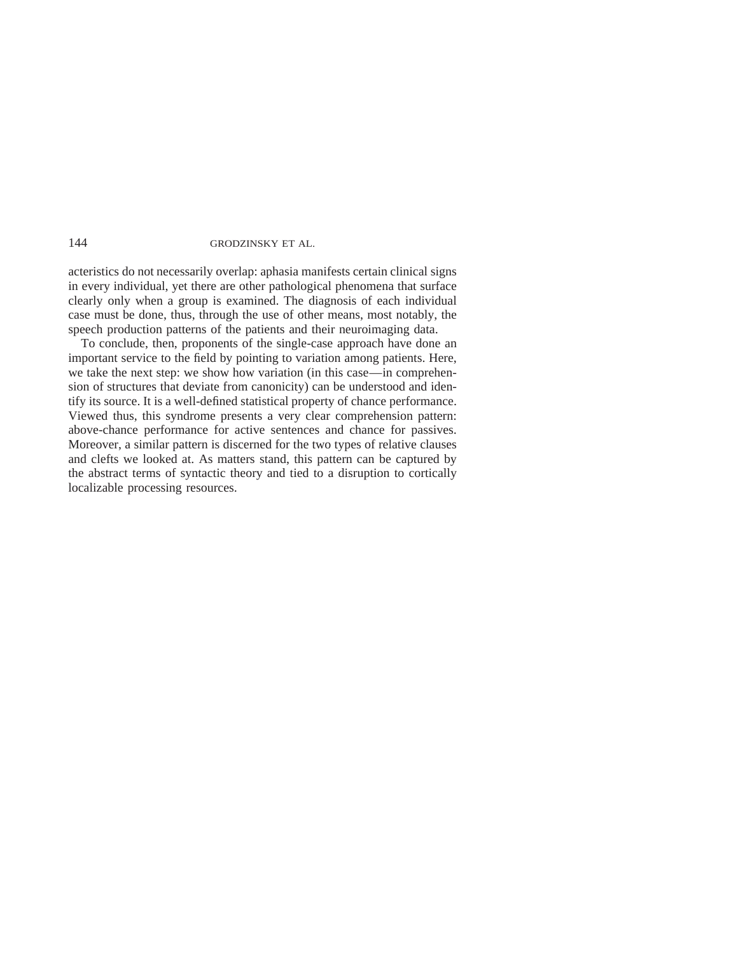acteristics do not necessarily overlap: aphasia manifests certain clinical signs in every individual, yet there are other pathological phenomena that surface clearly only when a group is examined. The diagnosis of each individual case must be done, thus, through the use of other means, most notably, the speech production patterns of the patients and their neuroimaging data.

To conclude, then, proponents of the single-case approach have done an important service to the field by pointing to variation among patients. Here, we take the next step: we show how variation (in this case—in comprehension of structures that deviate from canonicity) can be understood and identify its source. It is a well-defined statistical property of chance performance. Viewed thus, this syndrome presents a very clear comprehension pattern: above-chance performance for active sentences and chance for passives. Moreover, a similar pattern is discerned for the two types of relative clauses and clefts we looked at. As matters stand, this pattern can be captured by the abstract terms of syntactic theory and tied to a disruption to cortically localizable processing resources.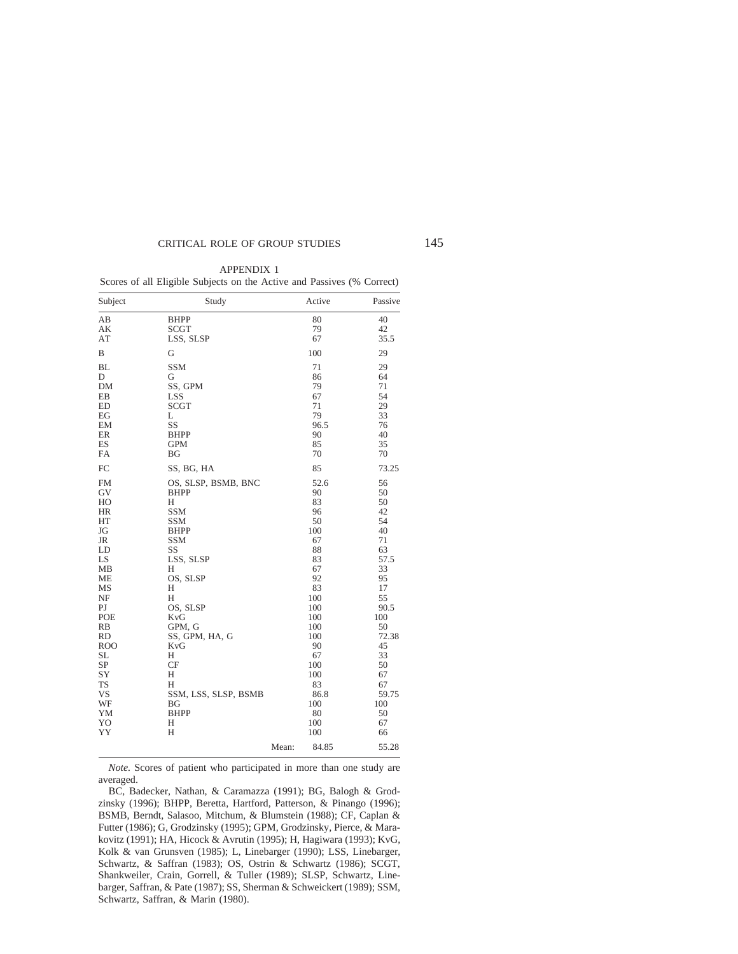| Subject                  | Study                | Active         | Passive |
|--------------------------|----------------------|----------------|---------|
| AB                       | <b>BHPP</b>          | 80             | 40      |
| AK                       | <b>SCGT</b>          | 79             | 42      |
| AT                       | LSS, SLSP            | 67             | 35.5    |
| B                        | G                    | 100            | 29      |
| BL                       | <b>SSM</b>           | 71             | 29      |
| D                        | 86<br>G              |                | 64      |
| <b>DM</b>                | SS, GPM              | 79             | 71      |
| EB                       | LSS                  | 67             | 54      |
| ED                       | 71<br><b>SCGT</b>    |                | 29      |
| EG                       | L                    | 79             |         |
| EM                       | SS<br>96.5           |                | 76      |
| ER                       | <b>BHPP</b><br>90    |                | 40      |
| $\mathop{\hbox{\rm ES}}$ | <b>GPM</b>           | 85             | 35      |
| FA                       | BG                   | 70             |         |
| FC                       | SS, BG, HA           | 85             | 73.25   |
| <b>FM</b>                | OS, SLSP, BSMB, BNC  | 52.6           | 56      |
| GV                       | <b>BHPP</b>          | 90             | 50      |
| HO                       | Н                    | 83             | 50      |
| <b>HR</b>                | <b>SSM</b>           | 96             | 42      |
| HT                       | <b>SSM</b>           | 50             | 54      |
| JG                       | <b>BHPP</b>          | 100            | 40      |
| JR                       | <b>SSM</b>           | 67             | 71      |
| LD                       | <b>SS</b>            | 88             | 63      |
| LS                       | LSS, SLSP            | 83             | 57.5    |
| MB                       | Н                    | 67             | 33      |
| <b>ME</b>                | OS, SLSP             | 92             | 95      |
| MS                       | Н                    | 83             | 17      |
| NF                       | Н                    | 100            | 55      |
| $P$ J                    | OS, SLSP             | 100            | 90.5    |
| POE                      | <b>KvG</b>           | 100            | 100     |
| RB                       | GPM, G               | 100            | 50      |
| <b>RD</b>                | SS, GPM, HA, G       | 100            | 72.38   |
| <b>ROO</b>               | KvG                  | 90             | 45      |
| <b>SL</b>                | H                    | 67             | 33      |
| SP                       | CF                   | 100            | 50      |
| SY                       | Н                    | 100            | 67      |
| <b>TS</b>                | H                    | 83             | 67      |
| <b>VS</b>                | SSM, LSS, SLSP, BSMB | 86.8           | 59.75   |
| WF                       | BG                   | 100<br>100     |         |
| YM                       | <b>BHPP</b>          | 80             | 50      |
| YO                       | H                    | 100            | 67      |
| YY                       | H                    | 100            | 66      |
|                          |                      | Mean:<br>84.85 | 55.28   |

APPENDIX 1 Scores of all Eligible Subjects on the Active and Passives (% Correct)

*Note.* Scores of patient who participated in more than one study are averaged.

BC, Badecker, Nathan, & Caramazza (1991); BG, Balogh & Grodzinsky (1996); BHPP, Beretta, Hartford, Patterson, & Pinango (1996); BSMB, Berndt, Salasoo, Mitchum, & Blumstein (1988); CF, Caplan & Futter (1986); G, Grodzinsky (1995); GPM, Grodzinsky, Pierce, & Marakovitz (1991); HA, Hicock & Avrutin (1995); H, Hagiwara (1993); KvG, Kolk & van Grunsven (1985); L, Linebarger (1990); LSS, Linebarger, Schwartz, & Saffran (1983); OS, Ostrin & Schwartz (1986); SCGT, Shankweiler, Crain, Gorrell, & Tuller (1989); SLSP, Schwartz, Linebarger, Saffran, & Pate (1987); SS, Sherman & Schweickert (1989); SSM, Schwartz, Saffran, & Marin (1980).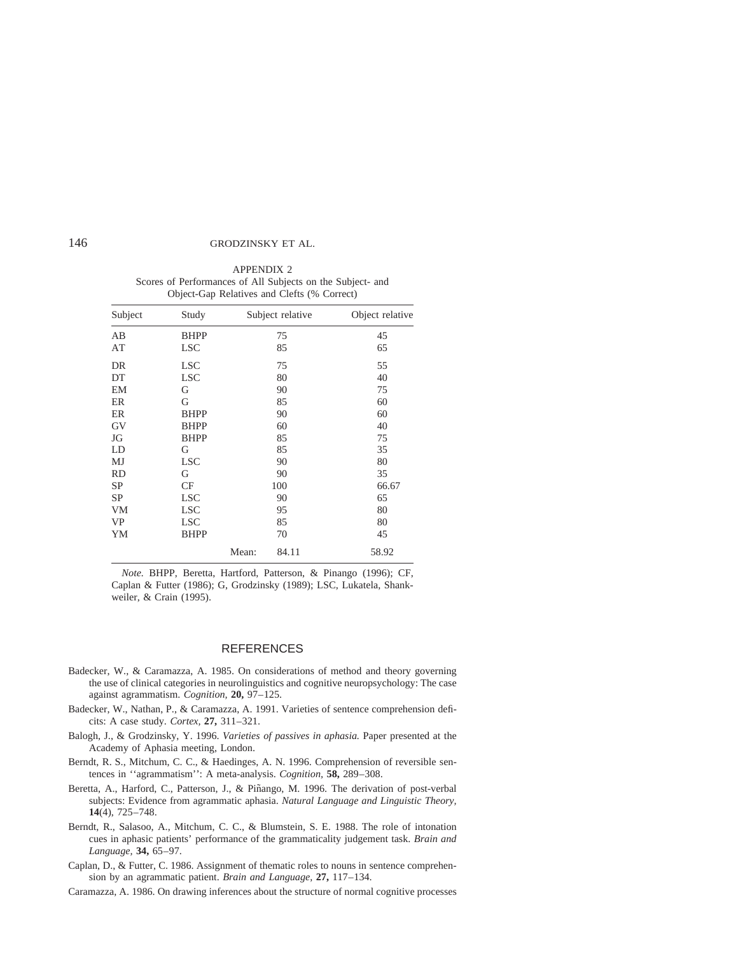#### 146 GRODZINSKY ET AL.

| Subject   | Study       | Subject relative | Object relative |
|-----------|-------------|------------------|-----------------|
| AB        | <b>BHPP</b> | 75               | 45              |
| AT        | LSC         | 85               | 65              |
| DR        | <b>LSC</b>  | 75               | 55              |
| DT        | <b>LSC</b>  | 80               | 40              |
| EM        | G           | 90               | 75              |
| ER        | G           | 85               | 60              |
| ER        | <b>BHPP</b> | 90               | 60              |
| GV        | <b>BHPP</b> | 60               | 40              |
| JG        | <b>BHPP</b> | 85               | 75              |
| LD        | G           | 85               | 35              |
| MJ        | <b>LSC</b>  | 90               | 80              |
| <b>RD</b> | G           | 90               | 35              |
| SP        | CF          | 100              | 66.67           |
| SP        | <b>LSC</b>  | 90               | 65              |
| VM        | LSC         | 95               | 80              |
| <b>VP</b> | LSC         | 85               | 80              |
| YM        | <b>BHPP</b> | 70               | 45              |
|           |             | Mean:<br>84.11   | 58.92           |

APPENDIX 2 Scores of Performances of All Subjects on the Subject- and Object-Gap Relatives and Clefts (% Correct)

*Note.* BHPP, Beretta, Hartford, Patterson, & Pinango (1996); CF, Caplan & Futter (1986); G, Grodzinsky (1989); LSC, Lukatela, Shankweiler, & Crain (1995).

#### REFERENCES

- Badecker, W., & Caramazza, A. 1985. On considerations of method and theory governing the use of clinical categories in neurolinguistics and cognitive neuropsychology: The case against agrammatism. *Cognition,* **20,** 97–125.
- Badecker, W., Nathan, P., & Caramazza, A. 1991. Varieties of sentence comprehension deficits: A case study. *Cortex,* **27,** 311–321.
- Balogh, J., & Grodzinsky, Y. 1996. *Varieties of passives in aphasia.* Paper presented at the Academy of Aphasia meeting, London.
- Berndt, R. S., Mitchum, C. C., & Haedinges, A. N. 1996. Comprehension of reversible sentences in ''agrammatism'': A meta-analysis. *Cognition,* **58,** 289–308.
- Beretta, A., Harford, C., Patterson, J., & Piñango, M. 1996. The derivation of post-verbal subjects: Evidence from agrammatic aphasia. *Natural Language and Linguistic Theory,* **14**(4), 725–748.
- Berndt, R., Salasoo, A., Mitchum, C. C., & Blumstein, S. E. 1988. The role of intonation cues in aphasic patients' performance of the grammaticality judgement task. *Brain and Language,* **34,** 65–97.
- Caplan, D., & Futter, C. 1986. Assignment of thematic roles to nouns in sentence comprehension by an agrammatic patient. *Brain and Language,* **27,** 117–134.
- Caramazza, A. 1986. On drawing inferences about the structure of normal cognitive processes